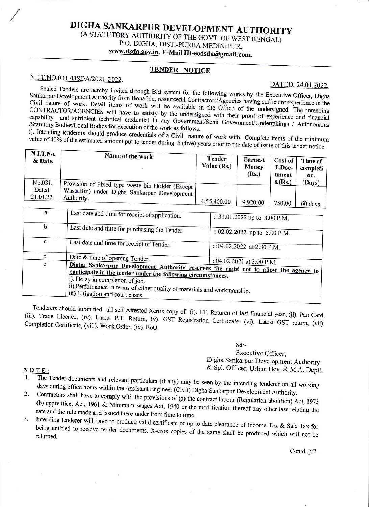# DIGHA SANKARPUR DEVELOPMENT AUTHORITY (A STATUTORY AUTHORITY OF THE GOVT. OF WEST BENGAL) P.O.-DIGHA, DIST.-PURBA MEDINIPUR, www.dsda.gov.in. E-Mail ID-eodsda@gmail.com.

## **TENDER NOTICE**

## N.I.T.NO.031 /DSDA/2021-2022.

### DATED: 24.01.2022.

Sealed Tenders are hereby invited through Bid system for the following works by the Executive Officer, Digha Sankarpur Development Authority from Bonafide, resourceful Contractors/Agencies having sufficient experience in the Civil nature of work. Detail items of work will be available in the Office of the undersigned. The intending CONTRACTOR/AGENCIES will have to satisfy by the undersigned with their proof of experience and financial capability and sufficient technical credential in any Government/Semi Government/Undertakings / Autonomous /Statutory Bodies/Local Bodies for execution of the work as follows.

i). Intending tenderers should produce credentials of a Civil nature of work with Complete items of the minimum value of 40% of the estimated amount put to tender during  $5$  (five) years prior to the date of issue of this tender notice.

| N.I.T.No.<br>Name of the work<br>& Date.                                                                                                          | Tender<br>Value $(Rs.)$ | <b>Earnest</b><br>Money<br>(Rs.) | Cost of<br>T.Doc-<br>ument | Time of<br>completi<br>on. |
|---------------------------------------------------------------------------------------------------------------------------------------------------|-------------------------|----------------------------------|----------------------------|----------------------------|
| No.031,<br>Provision of Fixed type waste bin Holder (Except J<br>Dated:<br>WasteBin) under Digha Sankarpur Development<br>21.01.22.<br>Authority. | 4,55,400.00             | 9,920.00                         | s.(Rs.)<br>750.00          | (Days)<br>60 days          |

| a | Last date and time for receipt of application.                                                                                                                                                                                                                                                          | :: 31.01.2022 up to 3.00 P.M. |  |
|---|---------------------------------------------------------------------------------------------------------------------------------------------------------------------------------------------------------------------------------------------------------------------------------------------------------|-------------------------------|--|
|   |                                                                                                                                                                                                                                                                                                         |                               |  |
| b | Last date and time for purchasing the Tender.                                                                                                                                                                                                                                                           | :: 02.02.2022 up to 5.00 P.M. |  |
| с | Last date and time for receipt of Tender.                                                                                                                                                                                                                                                               | : :04.02.2022 at 2.30 P.M.    |  |
| d | Date & time of opening Tender.                                                                                                                                                                                                                                                                          |                               |  |
| e | Digha Sankarpur Development Authority reserves the right not to allow the agency to<br>participate in the tender under the following circumstances.<br>i). Delay in completion of job.<br>ii).Performance in terms of either quality of materials and workmanship.<br>iii). Litigation and court cases. | ::04.02.2021 at 3.00 P.M.     |  |

Tenderers should submitted all self Attested Xerox copy of (i). I.T. Returen of last financial year, (ii). Pan Card, (iii). Trade Licence, (iv). Latest P.T. Return, (v). GST Registration Certificate, (vi). Latest GST return, (vii). Completion Certificate, (viii). Work Order, (ix). BoQ.

 $Sd$ .

Executive Officer, Digha Sankarpur Development Authority & Spl. Officer, Urban Dev. & M.A. Deptt.

#### NOTE:

- The Tender documents and relevant particulars (if any) may be seen by the intending tenderer on all working days during office hours within the Assistant Engineer (Civil) Digha Sankarpur Development Authority.
- Contractors shall have to comply with the provisions of (a) the contract labour (Regulation abolition) Act, 1973  $2.$ (b) apprentice, Act, 1961 & Minimum wages Act, 1940 or the modification thereof any other law relating the rate and the rule made and issued there under from time to time.
- Intending tenderer will have to produce valid certificate of up to date clearance of Income Tax & Sale Tax for 3. being entitled to receive tender documents. X-erox copies of the same shall be produced which will not be

Contd..p/2.